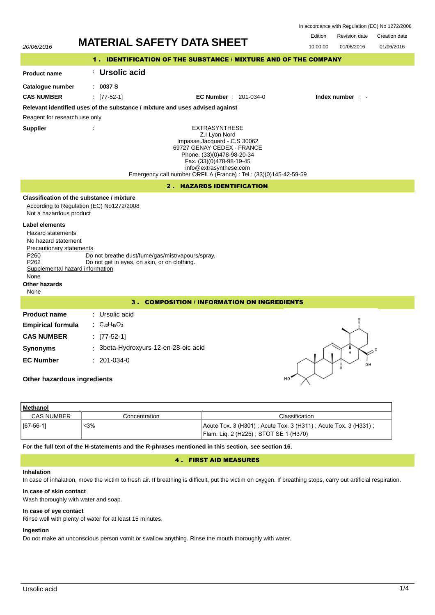| In accordance with Regulation (EC) No 1272/2008 |  |  |  |
|-------------------------------------------------|--|--|--|
|-------------------------------------------------|--|--|--|

| Edition | <b>Revision date</b> | Creation date |
|---------|----------------------|---------------|

| 20/06/2016                                                                                                                                                                                                                             | <b>MATERIAL SAFETY DATA SHEET</b>                                                                                                                                                                                                                            | טוסטווטוו שטוש<br>01/06/2016<br>01/06/2016<br>10.00.00 |  |
|----------------------------------------------------------------------------------------------------------------------------------------------------------------------------------------------------------------------------------------|--------------------------------------------------------------------------------------------------------------------------------------------------------------------------------------------------------------------------------------------------------------|--------------------------------------------------------|--|
|                                                                                                                                                                                                                                        | 1. IDENTIFICATION OF THE SUBSTANCE / MIXTURE AND OF THE COMPANY                                                                                                                                                                                              |                                                        |  |
| <b>Product name</b>                                                                                                                                                                                                                    | Ursolic acid                                                                                                                                                                                                                                                 |                                                        |  |
| Catalogue number                                                                                                                                                                                                                       | : 0037S                                                                                                                                                                                                                                                      |                                                        |  |
| <b>CAS NUMBER</b>                                                                                                                                                                                                                      | <b>EC Number</b> : 201-034-0<br>$[77-52-1]$                                                                                                                                                                                                                  | Index number : -                                       |  |
|                                                                                                                                                                                                                                        | Relevant identified uses of the substance / mixture and uses advised against                                                                                                                                                                                 |                                                        |  |
| Reagent for research use only                                                                                                                                                                                                          |                                                                                                                                                                                                                                                              |                                                        |  |
| <b>Supplier</b>                                                                                                                                                                                                                        | <b>EXTRASYNTHESE</b><br>Z.I Lyon Nord<br>Impasse Jacquard - C.S 30062<br>69727 GENAY CEDEX - FRANCE<br>Phone. (33)(0)478-98-20-34<br>Fax. (33)(0)478-98-19-45<br>info@extrasynthese.com<br>Emergency call number ORFILA (France) : Tel : (33)(0)145-42-59-59 |                                                        |  |
|                                                                                                                                                                                                                                        | 2. HAZARDS IDENTIFICATION                                                                                                                                                                                                                                    |                                                        |  |
| Not a hazardous product<br><b>Label elements</b><br><b>Hazard statements</b><br>No hazard statement<br><b>Precautionary statements</b><br>P260<br>P <sub>262</sub><br>Supplemental hazard information<br>None<br>Other hazards<br>None | Classification of the substance / mixture<br>According to Regulation (EC) No1272/2008<br>Do not breathe dust/fume/gas/mist/vapours/spray.<br>Do not get in eyes, on skin, or on clothing.                                                                    |                                                        |  |
| 3. COMPOSITION / INFORMATION ON INGREDIENTS                                                                                                                                                                                            |                                                                                                                                                                                                                                                              |                                                        |  |
| <b>Product name</b>                                                                                                                                                                                                                    | : Ursolic acid                                                                                                                                                                                                                                               |                                                        |  |
| <b>Empirical formula</b>                                                                                                                                                                                                               | : $C_{30}H_{48}O_3$                                                                                                                                                                                                                                          |                                                        |  |
| <b>CAS NUMBER</b>                                                                                                                                                                                                                      | : $[77-52-1]$                                                                                                                                                                                                                                                |                                                        |  |
| <b>Synonyms</b>                                                                                                                                                                                                                        | : 3beta-Hydroxyurs-12-en-28-oic acid                                                                                                                                                                                                                         | H                                                      |  |
| <b>EC Number</b><br>Other hazardous ingredients                                                                                                                                                                                        | $: 201-034-0$                                                                                                                                                                                                                                                | OН                                                     |  |
| <b>Methanol</b>                                                                                                                                                                                                                        |                                                                                                                                                                                                                                                              |                                                        |  |

| .                 |               |                                                                                                            |
|-------------------|---------------|------------------------------------------------------------------------------------------------------------|
| <b>CAS NUMBER</b> | Concentration | Classification                                                                                             |
| $ $ [67-56-1]     | <3%           | Acute Tox. 3 (H301) ; Acute Tox. 3 (H311) ; Acute Tox. 3 (H331) ;<br>Flam. Lig. 2 (H225); STOT SE 1 (H370) |

**For the full text of the H-statements and the R-phrases mentioned in this section, see section 16.**

## 4 . FIRST AID MEASURES

## **Inhalation**

In case of inhalation, move the victim to fresh air. If breathing is difficult, put the victim on oxygen. If breathing stops, carry out artificial respiration.

## **In case of skin contact**

Wash thoroughly with water and soap.

# **In case of eye contact**

Rinse well with plenty of water for at least 15 minutes.

# **Ingestion**

Do not make an unconscious person vomit or swallow anything. Rinse the mouth thoroughly with water.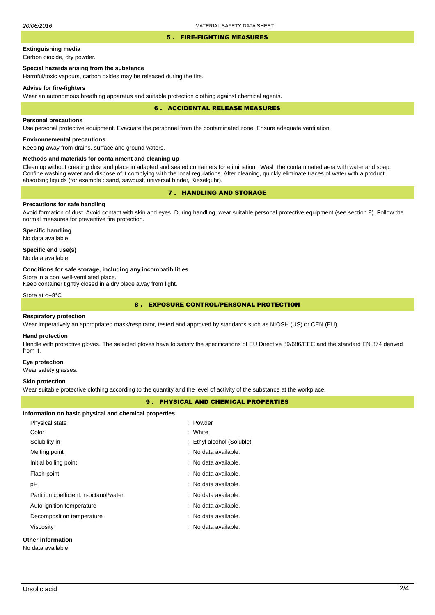### 5 . FIRE-FIGHTING MEASURES

# **Extinguishing media**

Carbon dioxide, dry powder.

## **Special hazards arising from the substance**

Harmful/toxic vapours, carbon oxides may be released during the fire.

### **Advise for fire-fighters**

Wear an autonomous breathing apparatus and suitable protection clothing against chemical agents.

### 6 . ACCIDENTAL RELEASE MEASURES

### **Personal precautions**

Use personal protective equipment. Evacuate the personnel from the contaminated zone. Ensure adequate ventilation.

## **Environnemental precautions**

Keeping away from drains, surface and ground waters.

### **Methods and materials for containment and cleaning up**

Clean up without creating dust and place in adapted and sealed containers for elimination. Wash the contaminated aera with water and soap. Confine washing water and dispose of it complying with the local regulations. After cleaning, quickly eliminate traces of water with a product absorbing liquids (for example : sand, sawdust, universal binder, Kieselguhr).

## 7 . HANDLING AND STORAGE

## **Precautions for safe handling**

Avoid formation of dust. Avoid contact with skin and eyes. During handling, wear suitable personal protective equipment (see section 8). Follow the normal measures for preventive fire protection.

**Specific handling** No data available.

### **Specific end use(s)**

No data available

### **Conditions for safe storage, including any incompatibilities**

Store in a cool well-ventilated place.

Keep container tightly closed in a dry place away from light.

Store at <+8°C

## 8 . EXPOSURE CONTROL/PERSONAL PROTECTION

### **Respiratory protection**

Wear imperatively an appropriated mask/respirator, tested and approved by standards such as NIOSH (US) or CEN (EU).

#### **Hand protection**

Handle with protective gloves. The selected gloves have to satisfy the specifications of EU Directive 89/686/EEC and the standard EN 374 derived from it.

### **Eye protection**

Wear safety glasses.

### **Skin protection**

Wear suitable protective clothing according to the quantity and the level of activity of the substance at the workplace.

## 9 . PHYSICAL AND CHEMICAL PROPERTIES

| Information on basic physical and chemical properties |                                 |
|-------------------------------------------------------|---------------------------------|
| Physical state                                        | : Powder                        |
| Color                                                 | : White                         |
| Solubility in                                         | : Ethyl alcohol (Soluble)       |
| Melting point                                         | $:$ No data available.          |
| Initial boiling point                                 | : No data available.            |
| Flash point                                           | : No data available.            |
| рH                                                    | : No data available.            |
| Partition coefficient: n-octanol/water                | : No data available.            |
| Auto-ignition temperature                             | $\therefore$ No data available. |
| Decomposition temperature                             | : No data available.            |
| Viscosity                                             | $\therefore$ No data available. |
| <b>Other information</b><br>No data available         |                                 |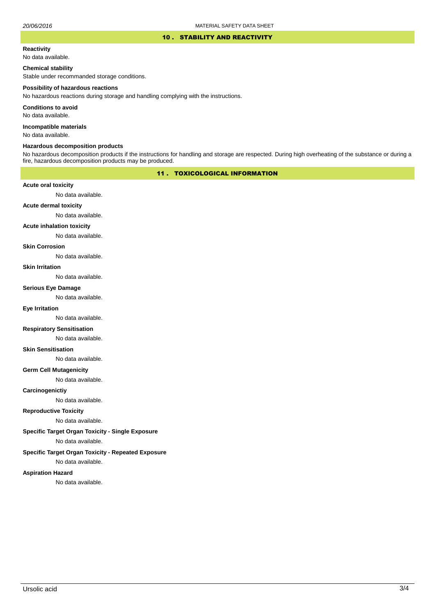### 10 . STABILITY AND REACTIVITY

#### **Reactivity**

No data available.

## **Chemical stability**

Stable under recommanded storage conditions.

#### **Possibility of hazardous reactions**

No hazardous reactions during storage and handling complying with the instructions.

**Conditions to avoid**

No data available.

**Incompatible materials**

No data available.

### **Hazardous decomposition products**

No hazardous decomposition products if the instructions for handling and storage are respected. During high overheating of the substance or during a fire, hazardous decomposition products may be produced.

## 11 . TOXICOLOGICAL INFORMATION

### **Acute oral toxicity**

No data available.

## **Acute dermal toxicity**

No data available.

#### **Acute inhalation toxicity**

No data available.

### **Skin Corrosion**

No data available.

#### **Skin Irritation**

No data available.

## **Serious Eye Damage**

No data available.

### **Eye Irritation**

No data available.

### **Respiratory Sensitisation**

No data available.

### **Skin Sensitisation**

No data available.

### **Germ Cell Mutagenicity**

No data available.

### **Carcinogenictiy**

No data available.

## **Reproductive Toxicity**

No data available.

## **Specific Target Organ Toxicity - Single Exposure**

No data available.

### **Specific Target Organ Toxicity - Repeated Exposure**

No data available.

### **Aspiration Hazard**

No data available.